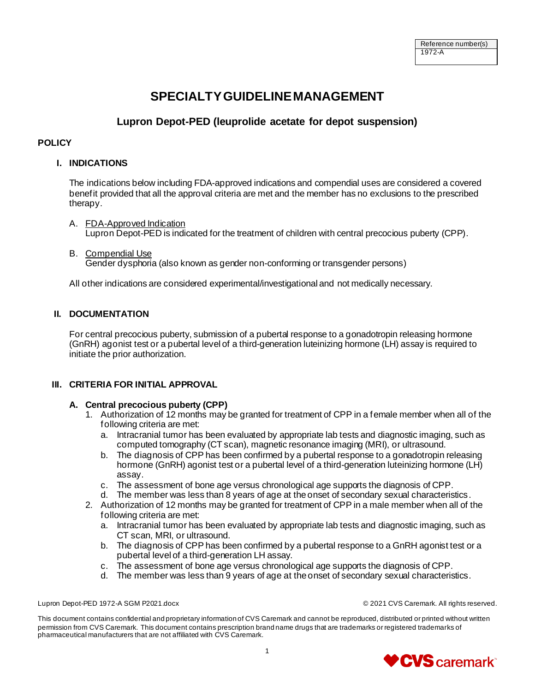# **SPECIALTY GUIDELINE MANAGEMENT**

# **Lupron Depot-PED (leuprolide acetate for depot suspension)**

#### **POLICY**

# **I. INDICATIONS**

The indications below including FDA-approved indications and compendial uses are considered a covered benefit provided that all the approval criteria are met and the member has no exclusions to the prescribed therapy.

- A. FDA-Approved Indication Lupron Depot-PED is indicated for the treatment of children with central precocious puberty (CPP).
- B. Compendial Use Gender dysphoria (also known as gender non-conforming or transgender persons)

All other indications are considered experimental/investigational and not medically necessary.

# **II. DOCUMENTATION**

For central precocious puberty, submission of a pubertal response to a gonadotropin releasing hormone (GnRH) agonist test or a pubertal level of a third-generation luteinizing hormone (LH) assay is required to initiate the prior authorization.

# **III. CRITERIA FOR INITIAL APPROVAL**

# **A. Central precocious puberty (CPP)**

- 1. Authorization of 12 months may be granted for treatment of CPP in a female member when all of the following criteria are met:
	- a. Intracranial tumor has been evaluated by appropriate lab tests and diagnostic imaging, such as computed tomography (CT scan), magnetic resonance imaging (MRI), or ultrasound.
	- b. The diagnosis of CPP has been confirmed by a pubertal response to a gonadotropin releasing hormone (GnRH) agonist test or a pubertal level of a third-generation luteinizing hormone (LH) assay.
	- c. The assessment of bone age versus chronological age supports the diagnosis of CPP.
	- d. The member was less than 8 years of age at the onset of secondary sexual characteristics.
- 2. Authorization of 12 months may be granted for treatment of CPP in a male member when all of the following criteria are met:
	- a. Intracranial tumor has been evaluated by appropriate lab tests and diagnostic imaging, such as CT scan, MRI, or ultrasound.
	- b. The diagnosis of CPP has been confirmed by a pubertal response to a GnRH agonist test or a pubertal level of a third-generation LH assay.
	- c. The assessment of bone age versus chronological age supports the diagnosis of CPP.
	- d. The member was less than 9 years of age at the onset of secondary sexual characteristics.

Lupron Depot-PED 1972-A SGM P2021.docx © 2021 CVS Caremark. All rights reserved.

This document contains confidential and proprietary information of CVS Caremark and cannot be reproduced, distributed or printed without written permission from CVS Caremark. This document contains prescription brand name drugs that are trademarks or registered trademarks of pharmaceutical manufacturers that are not affiliated with CVS Caremark.

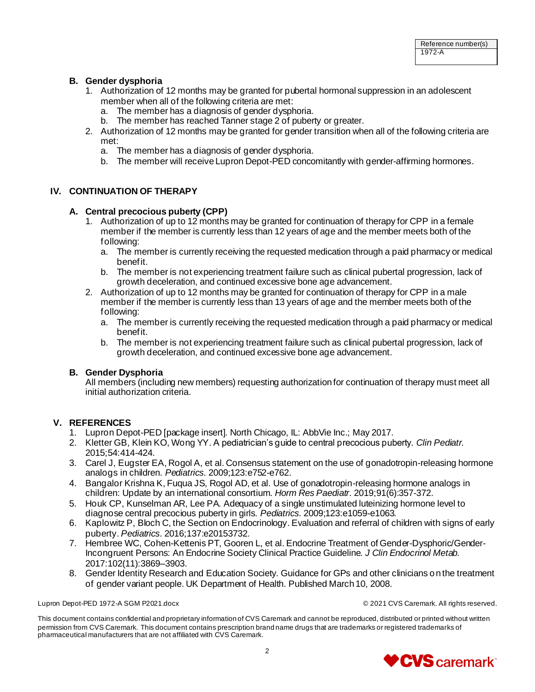#### **B. Gender dysphoria**

- 1. Authorization of 12 months may be granted for pubertal hormonal suppression in an adolescent member when all of the following criteria are met:
	- a. The member has a diagnosis of gender dysphoria.
	- b. The member has reached Tanner stage 2 of puberty or greater.
- 2. Authorization of 12 months may be granted for gender transition when all of the following criteria are met:
	- a. The member has a diagnosis of gender dysphoria.
	- b. The member will receive Lupron Depot-PED concomitantly with gender-affirming hormones.

#### **IV. CONTINUATION OF THERAPY**

#### **A. Central precocious puberty (CPP)**

- 1. Authorization of up to 12 months may be granted for continuation of therapy for CPP in a female member if the member is currently less than 12 years of age and the member meets both of the following:
	- a. The member is currently receiving the requested medication through a paid pharmacy or medical benefit.
	- b. The member is not experiencing treatment failure such as clinical pubertal progression, lack of growth deceleration, and continued excessive bone age advancement.
- 2. Authorization of up to 12 months may be granted for continuation of therapy for CPP in a male member if the member is currently less than 13 years of age and the member meets both of the following:
	- a. The member is currently receiving the requested medication through a paid pharmacy or medical benefit.
	- b. The member is not experiencing treatment failure such as clinical pubertal progression, lack of growth deceleration, and continued excessive bone age advancement.

#### **B. Gender Dysphoria**

All members (including new members) requesting authorization for continuation of therapy must meet all initial authorization criteria.

# **V. REFERENCES**

- 1. Lupron Depot-PED [package insert]. North Chicago, IL: AbbVie Inc.; May 2017.
- 2. Kletter GB, Klein KO, Wong YY. A pediatrician's guide to central precocious puberty. *Clin Pediatr.*  2015;54:414-424.
- 3. Carel J, Eugster EA, Rogol A, et al. Consensus statement on the use of gonadotropin-releasing hormone analogs in children. *Pediatrics*. 2009;123:e752-e762.
- 4. Bangalor Krishna K, Fuqua JS, Rogol AD, et al. Use of gonadotropin-releasing hormone analogs in children: Update by an international consortium. *Horm Res Paediatr*. 2019;91(6):357-372.
- 5. Houk CP, Kunselman AR, Lee PA. Adequacy of a single unstimulated luteinizing hormone level to diagnose central precocious puberty in girls. *Pediatrics*. 2009;123:e1059-e1063.
- 6. Kaplowitz P, Bloch C, the Section on Endocrinology. Evaluation and referral of children with signs of early puberty. *Pediatrics.* 2016;137:e20153732.
- 7. Hembree WC, Cohen-Kettenis PT, Gooren L, et al. Endocrine Treatment of Gender-Dysphoric/Gender-Incongruent Persons: An Endocrine Society Clinical Practice Guideline. *J Clin Endocrinol Metab.* 2017:102(11):3869–3903.
- 8. Gender Identity Research and Education Society. Guidance for GPs and other clinicians on the treatment of gender variant people. UK Department of Health. Published March 10, 2008.

Lupron Depot-PED 1972-A SGM P2021.docx © 2021 CVS Caremark. All rights reserved.

This document contains confidential and proprietary information of CVS Caremark and cannot be reproduced, distributed or printed without written permission from CVS Caremark. This document contains prescription brand name drugs that are trademarks or registered trademarks of pharmaceutical manufacturers that are not affiliated with CVS Caremark.